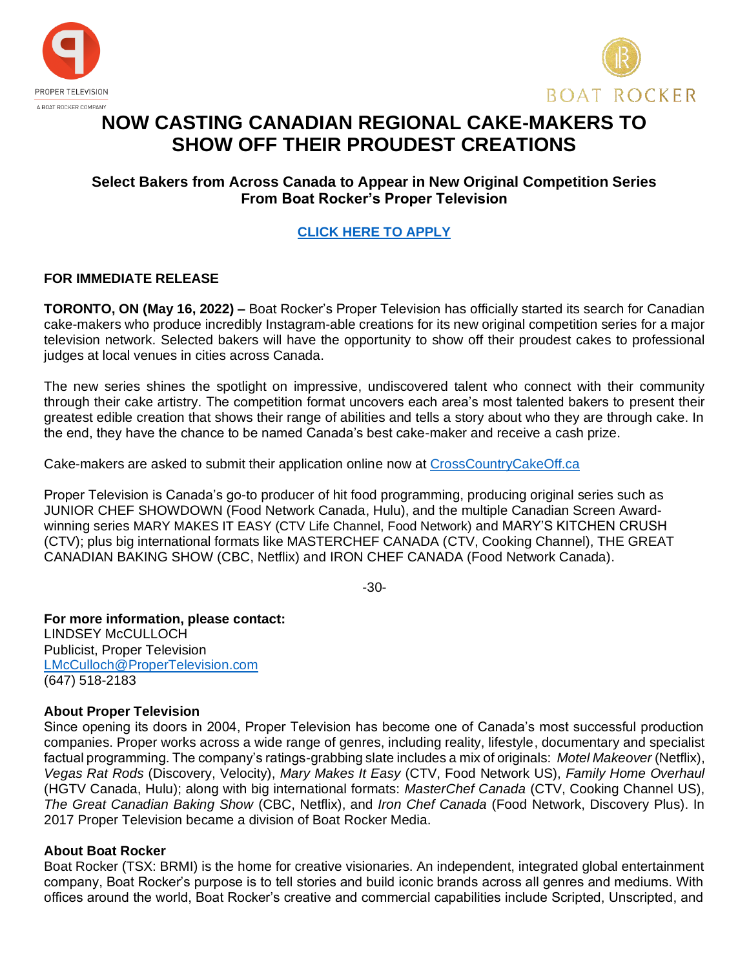



# **NOW CASTING CANADIAN REGIONAL CAKE-MAKERS TO SHOW OFF THEIR PROUDEST CREATIONS**

## **Select Bakers from Across Canada to Appear in New Original Competition Series From Boat Rocker's Proper Television**

# **[CLICK HERE TO APPLY](https://crosscountrycakeoff.castingcrane.com/)**

## **FOR IMMEDIATE RELEASE**

**TORONTO, ON (May 16, 2022) –** Boat Rocker's Proper Television has officially started its search for Canadian cake-makers who produce incredibly Instagram-able creations for its new original competition series for a major television network. Selected bakers will have the opportunity to show off their proudest cakes to professional judges at local venues in cities across Canada.

The new series shines the spotlight on impressive, undiscovered talent who connect with their community through their cake artistry. The competition format uncovers each area's most talented bakers to present their greatest edible creation that shows their range of abilities and tells a story about who they are through cake. In the end, they have the chance to be named Canada's best cake-maker and receive a cash prize.

Cake-makers are asked to submit their application online now at [CrossCountryCakeOff.ca](https://crosscountrycakeoff.castingcrane.com/)

Proper Television is Canada's go-to producer of hit food programming, producing original series such as JUNIOR CHEF SHOWDOWN (Food Network Canada, Hulu), and the multiple Canadian Screen Awardwinning series MARY MAKES IT EASY (CTV Life Channel, Food Network) and MARY'S KITCHEN CRUSH (CTV); plus big international formats like MASTERCHEF CANADA (CTV, Cooking Channel), THE GREAT CANADIAN BAKING SHOW (CBC, Netflix) and IRON CHEF CANADA (Food Network Canada).

-30-

**For more information, please contact:**  LINDSEY McCULLOCH Publicist, Proper Television [LMcCulloch@ProperTelevision.com](mailto:LMcCulloch@ProperTelevision.com) (647) 518-2183

### **About Proper Television**

Since opening its doors in 2004, Proper Television has become one of Canada's most successful production companies. Proper works across a wide range of genres, including reality, lifestyle, documentary and specialist factual programming. The company's ratings-grabbing slate includes a mix of originals: *Motel Makeover* (Netflix), *Vegas Rat Rods* (Discovery, Velocity), *Mary Makes It Easy* (CTV, Food Network US), *Family Home Overhaul* (HGTV Canada, Hulu); along with big international formats: *MasterChef Canada* (CTV, Cooking Channel US), *The Great Canadian Baking Show* (CBC, Netflix), and *Iron Chef Canada* (Food Network, Discovery Plus). In 2017 Proper Television became a division of Boat Rocker Media.

### **About Boat Rocker**

Boat Rocker (TSX: BRMI) is the home for creative visionaries. An independent, integrated global entertainment company, Boat Rocker's purpose is to tell stories and build iconic brands across all genres and mediums. With offices around the world, Boat Rocker's creative and commercial capabilities include Scripted, Unscripted, and